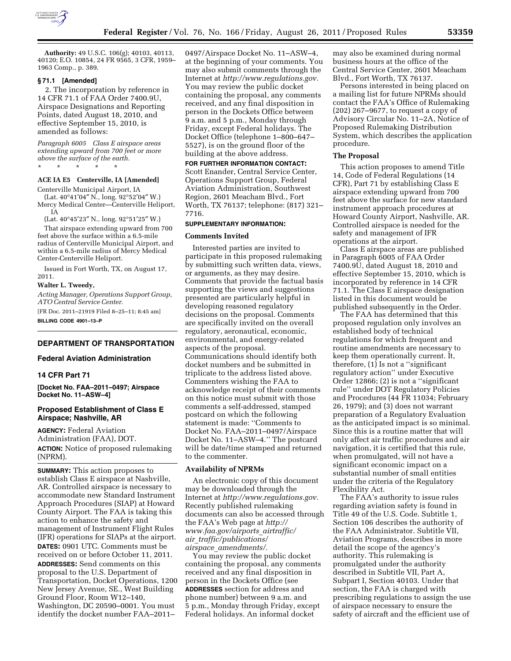

**Authority:** 49 U.S.C. 106(g); 40103, 40113, 40120; E.O. 10854, 24 FR 9565, 3 CFR, 1959– 1963 Comp., p. 389.

# **§ 71.1 [Amended]**

2. The incorporation by reference in 14 CFR 71.1 of FAA Order 7400.9U, Airspace Designations and Reporting Points, dated August 18, 2010, and effective September 15, 2010, is amended as follows:

*Paragraph 6005 Class E airspace areas extending upward from 700 feet or more above the surface of the earth.*  \* \* \* \* \*

#### **ACE IA E5 Centerville, IA [Amended]**

Centerville Municipal Airport, IA (Lat. 40°41′04″ N., long. 92°52′04″ W.)

Mercy Medical Center—Centerville Heliport, IA

(Lat. 40°45′23″ N., long. 92°51′25″ W.)

That airspace extending upward from 700 feet above the surface within a 6.5-mile radius of Centerville Municipal Airport, and within a 6.5-mile radius of Mercy Medical Center-Centerville Heliport.

Issued in Fort Worth, TX, on August 17, 2011.

#### **Walter L. Tweedy,**

*Acting Manager, Operations Support Group, ATO Central Service Center.* 

[FR Doc. 2011–21919 Filed 8–25–11; 8:45 am] **BILLING CODE 4901–13–P** 

# **DEPARTMENT OF TRANSPORTATION**

### **Federal Aviation Administration**

### **14 CFR Part 71**

**[Docket No. FAA–2011–0497; Airspace Docket No. 11–ASW–4]** 

# **Proposed Establishment of Class E Airspace; Nashville, AR**

**AGENCY:** Federal Aviation Administration (FAA), DOT. **ACTION:** Notice of proposed rulemaking (NPRM).

**SUMMARY:** This action proposes to establish Class E airspace at Nashville, AR. Controlled airspace is necessary to accommodate new Standard Instrument Approach Procedures (SIAP) at Howard County Airport. The FAA is taking this action to enhance the safety and management of Instrument Flight Rules (IFR) operations for SIAPs at the airport. **DATES:** 0901 UTC. Comments must be received on or before October 11, 2011. **ADDRESSES:** Send comments on this proposal to the U.S. Department of Transportation, Docket Operations, 1200 New Jersey Avenue, SE., West Building Ground Floor, Room W12–140, Washington, DC 20590–0001. You must identify the docket number FAA–2011–

0497/Airspace Docket No. 11–ASW–4, at the beginning of your comments. You may also submit comments through the Internet at *[http://www.regulations.gov.](http://www.regulations.gov)*  You may review the public docket containing the proposal, any comments received, and any final disposition in person in the Dockets Office between 9 a.m. and 5 p.m., Monday through Friday, except Federal holidays. The Docket Office (telephone 1–800–647– 5527), is on the ground floor of the building at the above address.

**FOR FURTHER INFORMATION CONTACT:**  Scott Enander, Central Service Center, Operations Support Group, Federal Aviation Administration, Southwest Region, 2601 Meacham Blvd., Fort Worth, TX 76137; telephone: (817) 321– 7716.

# **SUPPLEMENTARY INFORMATION:**

#### **Comments Invited**

Interested parties are invited to participate in this proposed rulemaking by submitting such written data, views, or arguments, as they may desire. Comments that provide the factual basis supporting the views and suggestions presented are particularly helpful in developing reasoned regulatory decisions on the proposal. Comments are specifically invited on the overall regulatory, aeronautical, economic, environmental, and energy-related aspects of the proposal. Communications should identify both docket numbers and be submitted in triplicate to the address listed above. Commenters wishing the FAA to acknowledge receipt of their comments on this notice must submit with those comments a self-addressed, stamped postcard on which the following statement is made: ''Comments to Docket No. FAA–2011–0497/Airspace Docket No. 11–ASW–4.'' The postcard will be date/time stamped and returned to the commenter.

# **Availability of NPRMs**

An electronic copy of this document may be downloaded through the Internet at *[http://www.regulations.gov.](http://www.regulations.gov)*  Recently published rulemaking documents can also be accessed through the FAA's Web page at *[http://](http://www.faa.gov/airports_airtraffic/air_traffic/publications/airspace_amendments/)  [www.faa.gov/airports](http://www.faa.gov/airports_airtraffic/air_traffic/publications/airspace_amendments/)*\_*airtraffic/ air*\_*[traffic/publications/](http://www.faa.gov/airports_airtraffic/air_traffic/publications/airspace_amendments/) airspace*\_*[amendments/.](http://www.faa.gov/airports_airtraffic/air_traffic/publications/airspace_amendments/)* 

You may review the public docket containing the proposal, any comments received and any final disposition in person in the Dockets Office (see **ADDRESSES** section for address and phone number) between 9 a.m. and 5 p.m., Monday through Friday, except Federal holidays. An informal docket

may also be examined during normal business hours at the office of the Central Service Center, 2601 Meacham Blvd., Fort Worth, TX 76137.

Persons interested in being placed on a mailing list for future NPRMs should contact the FAA's Office of Rulemaking (202) 267–9677, to request a copy of Advisory Circular No. 11–2A, Notice of Proposed Rulemaking Distribution System, which describes the application procedure.

#### **The Proposal**

This action proposes to amend Title 14, Code of Federal Regulations (14 CFR), Part 71 by establishing Class E airspace extending upward from 700 feet above the surface for new standard instrument approach procedures at Howard County Airport, Nashville, AR. Controlled airspace is needed for the safety and management of IFR operations at the airport.

Class E airspace areas are published in Paragraph 6005 of FAA Order 7400.9U, dated August 18, 2010 and effective September 15, 2010, which is incorporated by reference in 14 CFR 71.1. The Class E airspace designation listed in this document would be published subsequently in the Order.

The FAA has determined that this proposed regulation only involves an established body of technical regulations for which frequent and routine amendments are necessary to keep them operationally current. It, therefore,  $(1)$  Is not a "significant" regulatory action'' under Executive Order 12866; (2) is not a ''significant rule'' under DOT Regulatory Policies and Procedures (44 FR 11034; February 26, 1979); and (3) does not warrant preparation of a Regulatory Evaluation as the anticipated impact is so minimal. Since this is a routine matter that will only affect air traffic procedures and air navigation, it is certified that this rule, when promulgated, will not have a significant economic impact on a substantial number of small entities under the criteria of the Regulatory Flexibility Act.

The FAA's authority to issue rules regarding aviation safety is found in Title 49 of the U.S. Code. Subtitle 1, Section 106 describes the authority of the FAA Administrator. Subtitle VII, Aviation Programs, describes in more detail the scope of the agency's authority. This rulemaking is promulgated under the authority described in Subtitle VII, Part A, Subpart I, Section 40103. Under that section, the FAA is charged with prescribing regulations to assign the use of airspace necessary to ensure the safety of aircraft and the efficient use of